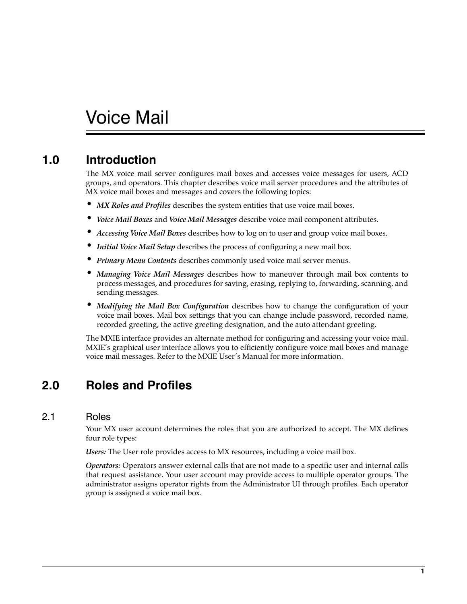# Voice Mail

## **1.0 Introduction**

The MX voice mail server configures mail boxes and accesses voice messages for users, ACD groups, and operators. This chapter describes voice mail server procedures and the attributes of MX voice mail boxes and messages and covers the following topics:

- *MX Roles and Profiles* describes the system entities that use voice mail boxes.
- *Voice Mail Boxes* and *Voice Mail Messages* describe voice mail component attributes.
- *Accessing Voice Mail Boxes* describes how to log on to user and group voice mail boxes.
- *Initial Voice Mail Setup* describes the process of configuring a new mail box.
- *Primary Menu Contents* describes commonly used voice mail server menus.
- *Managing Voice Mail Messages* describes how to maneuver through mail box contents to process messages, and procedures for saving, erasing, replying to, forwarding, scanning, and sending messages.
- *Modifying the Mail Box Configuration* describes how to change the configuration of your voice mail boxes. Mail box settings that you can change include password, recorded name, recorded greeting, the active greeting designation, and the auto attendant greeting.

The MXIE interface provides an alternate method for configuring and accessing your voice mail. MXIE's graphical user interface allows you to efficiently configure voice mail boxes and manage voice mail messages. Refer to the MXIE User's Manual for more information.

## **2.0 Roles and Profiles**

### 2.1 Roles

Your MX user account determines the roles that you are authorized to accept. The MX defines four role types:

*Users:* The User role provides access to MX resources, including a voice mail box.

*Operators:* Operators answer external calls that are not made to a specific user and internal calls that request assistance. Your user account may provide access to multiple operator groups. The administrator assigns operator rights from the Administrator UI through profiles. Each operator group is assigned a voice mail box.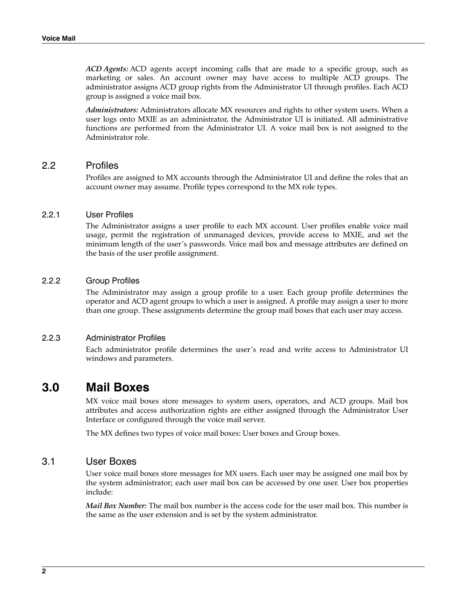*ACD Agents:* ACD agents accept incoming calls that are made to a specific group, such as marketing or sales. An account owner may have access to multiple ACD groups. The administrator assigns ACD group rights from the Administrator UI through profiles. Each ACD group is assigned a voice mail box.

*Administrators:* Administrators allocate MX resources and rights to other system users. When a user logs onto MXIE as an administrator, the Administrator UI is initiated. All administrative functions are performed from the Administrator UI. A voice mail box is not assigned to the Administrator role.

#### 2.2 Profiles

Profiles are assigned to MX accounts through the Administrator UI and define the roles that an account owner may assume. Profile types correspond to the MX role types.

#### 2.2.1 User Profiles

The Administrator assigns a user profile to each MX account. User profiles enable voice mail usage, permit the registration of unmanaged devices, provide access to MXIE, and set the minimum length of the user's passwords. Voice mail box and message attributes are defined on the basis of the user profile assignment.

#### 2.2.2 Group Profiles

The Administrator may assign a group profile to a user. Each group profile determines the operator and ACD agent groups to which a user is assigned. A profile may assign a user to more than one group. These assignments determine the group mail boxes that each user may access.

#### 2.2.3 Administrator Profiles

Each administrator profile determines the user's read and write access to Administrator UI windows and parameters.

### **3.0 Mail Boxes**

MX voice mail boxes store messages to system users, operators, and ACD groups. Mail box attributes and access authorization rights are either assigned through the Administrator User Interface or configured through the voice mail server.

The MX defines two types of voice mail boxes: User boxes and Group boxes.

#### 3.1 User Boxes

User voice mail boxes store messages for MX users. Each user may be assigned one mail box by the system administrator; each user mail box can be accessed by one user. User box properties include:

*Mail Box Number:* The mail box number is the access code for the user mail box. This number is the same as the user extension and is set by the system administrator.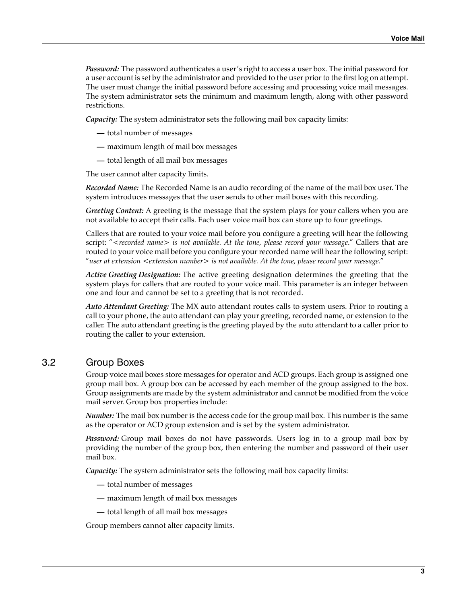*Password:* The password authenticates a user's right to access a user box. The initial password for a user account is set by the administrator and provided to the user prior to the first log on attempt. The user must change the initial password before accessing and processing voice mail messages. The system administrator sets the minimum and maximum length, along with other password restrictions.

*Capacity:* The system administrator sets the following mail box capacity limits:

- **—** total number of messages
- **—** maximum length of mail box messages
- **—** total length of all mail box messages

The user cannot alter capacity limits.

*Recorded Name:* The Recorded Name is an audio recording of the name of the mail box user. The system introduces messages that the user sends to other mail boxes with this recording.

*Greeting Content:* A greeting is the message that the system plays for your callers when you are not available to accept their calls. Each user voice mail box can store up to four greetings.

Callers that are routed to your voice mail before you configure a greeting will hear the following script: "*<recorded name> is not available. At the tone, please record your message*." Callers that are routed to your voice mail before you configure your recorded name will hear the following script: "*user at extension <extension number> is not available. At the tone, please record your message.*"

*Active Greeting Designation:* The active greeting designation determines the greeting that the system plays for callers that are routed to your voice mail. This parameter is an integer between one and four and cannot be set to a greeting that is not recorded.

*Auto Attendant Greeting:* The MX auto attendant routes calls to system users. Prior to routing a call to your phone, the auto attendant can play your greeting, recorded name, or extension to the caller. The auto attendant greeting is the greeting played by the auto attendant to a caller prior to routing the caller to your extension.

### 3.2 Group Boxes

Group voice mail boxes store messages for operator and ACD groups. Each group is assigned one group mail box. A group box can be accessed by each member of the group assigned to the box. Group assignments are made by the system administrator and cannot be modified from the voice mail server. Group box properties include:

*Number:* The mail box number is the access code for the group mail box. This number is the same as the operator or ACD group extension and is set by the system administrator.

*Password:* Group mail boxes do not have passwords. Users log in to a group mail box by providing the number of the group box, then entering the number and password of their user mail box.

*Capacity:* The system administrator sets the following mail box capacity limits:

- **—** total number of messages
- **—** maximum length of mail box messages
- **—** total length of all mail box messages

Group members cannot alter capacity limits.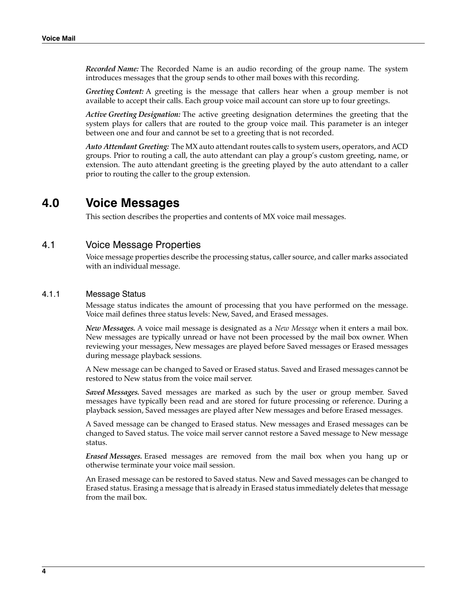*Recorded Name:* The Recorded Name is an audio recording of the group name. The system introduces messages that the group sends to other mail boxes with this recording.

*Greeting Content:* A greeting is the message that callers hear when a group member is not available to accept their calls. Each group voice mail account can store up to four greetings.

*Active Greeting Designation:* The active greeting designation determines the greeting that the system plays for callers that are routed to the group voice mail. This parameter is an integer between one and four and cannot be set to a greeting that is not recorded.

*Auto Attendant Greeting:* The MX auto attendant routes calls to system users, operators, and ACD groups. Prior to routing a call, the auto attendant can play a group's custom greeting, name, or extension. The auto attendant greeting is the greeting played by the auto attendant to a caller prior to routing the caller to the group extension.

## **4.0 Voice Messages**

This section describes the properties and contents of MX voice mail messages.

### 4.1 Voice Message Properties

Voice message properties describe the processing status, caller source, and caller marks associated with an individual message.

#### 4.1.1 Message Status

Message status indicates the amount of processing that you have performed on the message. Voice mail defines three status levels: New, Saved, and Erased messages.

*New Messages.* A voice mail message is designated as a *New Message* when it enters a mail box. New messages are typically unread or have not been processed by the mail box owner. When reviewing your messages, New messages are played before Saved messages or Erased messages during message playback sessions.

A New message can be changed to Saved or Erased status. Saved and Erased messages cannot be restored to New status from the voice mail server.

*Saved Messages.* Saved messages are marked as such by the user or group member. Saved messages have typically been read and are stored for future processing or reference. During a playback session, Saved messages are played after New messages and before Erased messages.

A Saved message can be changed to Erased status. New messages and Erased messages can be changed to Saved status. The voice mail server cannot restore a Saved message to New message status.

*Erased Messages.* Erased messages are removed from the mail box when you hang up or otherwise terminate your voice mail session.

An Erased message can be restored to Saved status. New and Saved messages can be changed to Erased status. Erasing a message that is already in Erased status immediately deletes that message from the mail box.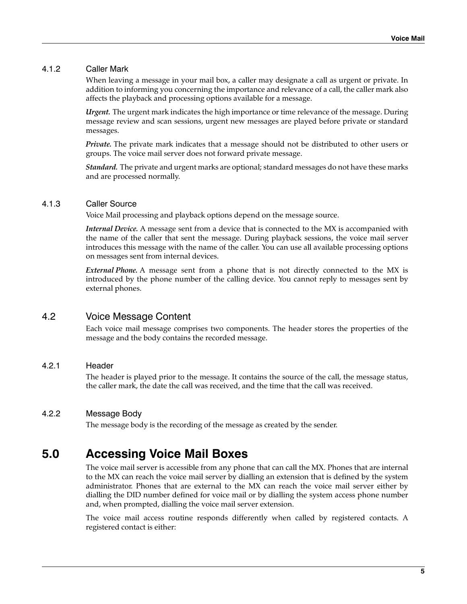#### <span id="page-4-0"></span>4.1.2 Caller Mark

When leaving a message in your mail box, a caller may designate a call as urgent or private. In addition to informing you concerning the importance and relevance of a call, the caller mark also affects the playback and processing options available for a message.

*Urgent.* The urgent mark indicates the high importance or time relevance of the message. During message review and scan sessions, urgent new messages are played before private or standard messages.

*Private.* The private mark indicates that a message should not be distributed to other users or groups. The voice mail server does not forward private message.

*Standard.* The private and urgent marks are optional; standard messages do not have these marks and are processed normally.

#### 4.1.3 Caller Source

Voice Mail processing and playback options depend on the message source.

*Internal Device.* A message sent from a device that is connected to the MX is accompanied with the name of the caller that sent the message. During playback sessions, the voice mail server introduces this message with the name of the caller. You can use all available processing options on messages sent from internal devices.

*External Phone.* A message sent from a phone that is not directly connected to the MX is introduced by the phone number of the calling device. You cannot reply to messages sent by external phones.

### 4.2 Voice Message Content

Each voice mail message comprises two components. The header stores the properties of the message and the body contains the recorded message.

#### 4.2.1 Header

The header is played prior to the message. It contains the source of the call, the message status, the caller mark, the date the call was received, and the time that the call was received.

#### 4.2.2 Message Body

The message body is the recording of the message as created by the sender.

## **5.0 Accessing Voice Mail Boxes**

The voice mail server is accessible from any phone that can call the MX. Phones that are internal to the MX can reach the voice mail server by dialling an extension that is defined by the system administrator. Phones that are external to the MX can reach the voice mail server either by dialling the DID number defined for voice mail or by dialling the system access phone number and, when prompted, dialling the voice mail server extension.

The voice mail access routine responds differently when called by registered contacts. A registered contact is either: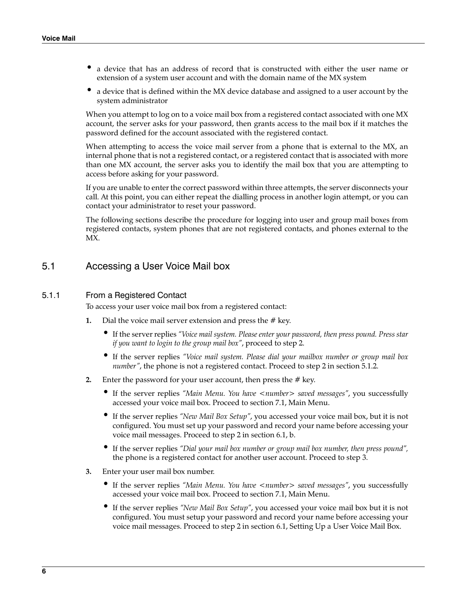- a device that has an address of record that is constructed with either the user name or extension of a system user account and with the domain name of the MX system
- a device that is defined within the MX device database and assigned to a user account by the system administrator

When you attempt to log on to a voice mail box from a registered contact associated with one MX account, the server asks for your password, then grants access to the mail box if it matches the password defined for the account associated with the registered contact.

When attempting to access the voice mail server from a phone that is external to the MX, an internal phone that is not a registered contact, or a registered contact that is associated with more than one MX account, the server asks you to identify the mail box that you are attempting to access before asking for your password.

If you are unable to enter the correct password within three attempts, the server disconnects your call. At this point, you can either repeat the dialling process in another login attempt, or you can contact your administrator to reset your password.

The following sections describe the procedure for logging into user and group mail boxes from registered contacts, system phones that are not registered contacts, and phones external to the MX.

### 5.1 Accessing a User Voice Mail box

#### <span id="page-5-2"></span>5.1.1 From a Registered Contact

To access your user voice mail box from a registered contact:

- **1.** Dial the voice mail server extension and press the # key.
	- If the server replies *"Voice mail system. Please enter your password, then press pound. Press star if you want to login to the group mail box"*, proceed to [step 2.](#page-5-0)
	- If the server replies *"Voice mail system. Please dial your mailbox number or group mail box number"*, the phone is not a registered contact. Proceed to [step 2](#page-6-1) in [section 5.1.2.](#page-6-0)
- <span id="page-5-0"></span>**2.** Enter the password for your user account, then press the # key.
	- If the server replies "Main Menu. You have <number> saved messages", you successfully accessed your voice mail box. Proceed to [section 7.1, Main Menu](#page-10-0).
	- If the server replies *"New Mail Box Setup"*, you accessed your voice mail box, but it is not configured. You must set up your password and record your name before accessing your voice mail messages. Proceed to [step 2](#page-9-0) in [section 6.1,](#page-8-0) b.
	- If the server replies *"Dial your mail box number or group mail box number, then press pound",* the phone is a registered contact for another user account. Proceed to [step 3](#page-5-1).
- <span id="page-5-1"></span>**3.** Enter your user mail box number.
	- If the server replies *"Main Menu. You have <number> saved messages"*, you successfully accessed your voice mail box. Proceed to [section 7.1, Main Menu](#page-10-0).
	- If the server replies *"New Mail Box Setup"*, you accessed your voice mail box but it is not configured. You must setup your password and record your name before accessing your voice mail messages. Proceed to [step 2](#page-9-0) in [section 6.1,](#page-8-0) [Setting Up a User Voice Mail Box](#page-8-0).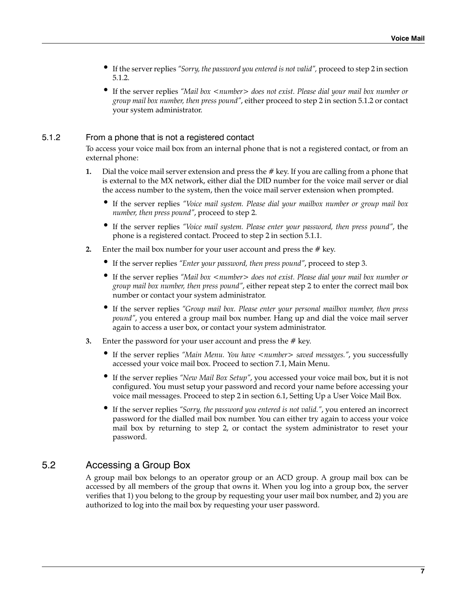- If the server replies *"Sorry, the password you entered is not valid",* proceed to [step 2](#page-6-1) in [section](#page-6-0) [5.1.2](#page-6-0).
- If the server replies *"Mail box <number> does not exist. Please dial your mail box number or group mail box number, then press pound"*, either proceed to [step 2](#page-6-1) in [section 5.1.2](#page-6-0) or contact your system administrator.

#### <span id="page-6-0"></span>5.1.2 From a phone that is not a registered contact

To access your voice mail box from an internal phone that is not a registered contact, or from an external phone:

- **1.** Dial the voice mail server extension and press the # key. If you are calling from a phone that is external to the MX network, either dial the DID number for the voice mail server or dial the access number to the system, then the voice mail server extension when prompted.
	- If the server replies *"Voice mail system. Please dial your mailbox number or group mail box number, then press pound"*, proceed to [step 2.](#page-6-1)
	- If the server replies *"Voice mail system. Please enter your password, then press pound"*, the phone is a registered contact. Proceed to [step 2](#page-5-0) in [section 5.1.1.](#page-5-2)
- <span id="page-6-1"></span>**2.** Enter the mail box number for your user account and press the # key.
	- If the server replies *"Enter your password, then press pound"*, proceed to [step 3](#page-6-2).
	- If the server replies *"Mail box <number> does not exist. Please dial your mail box number or group mail box number, then press pound"*, either repeat [step 2](#page-6-1) to enter the correct mail box number or contact your system administrator.
	- If the server replies *"Group mail box. Please enter your personal mailbox number, then press pound"*, you entered a group mail box number. Hang up and dial the voice mail server again to access a user box, or contact your system administrator.
- <span id="page-6-2"></span>**3.** Enter the password for your user account and press the # key.
	- If the server replies "Main Menu. You have <number> saved messages.", you successfully accessed your voice mail box. Proceed to [section 7.1, Main Menu](#page-10-0).
	- If the server replies *"New Mail Box Setup"*, you accessed your voice mail box, but it is not configured. You must setup your password and record your name before accessing your voice mail messages. Proceed to [step 2](#page-9-0) in [section 6.1,](#page-8-0) [Setting Up a User Voice Mail Box](#page-8-0).
	- If the server replies *"Sorry, the password you entered is not valid."*, you entered an incorrect password for the dialled mail box number. You can either try again to access your voice mail box by returning to [step 2](#page-6-1), or contact the system administrator to reset your password.

### <span id="page-6-3"></span>5.2 Accessing a Group Box

A group mail box belongs to an operator group or an ACD group. A group mail box can be accessed by all members of the group that owns it. When you log into a group box, the server verifies that 1) you belong to the group by requesting your user mail box number, and 2) you are authorized to log into the mail box by requesting your user password.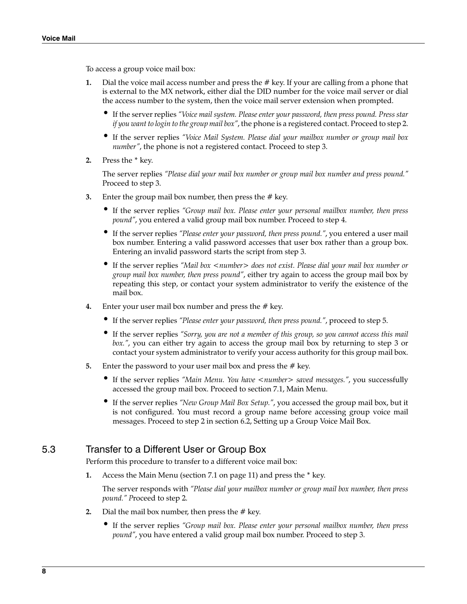To access a group voice mail box:

- **1.** Dial the voice mail access number and press the # key. If your are calling from a phone that is external to the MX network, either dial the DID number for the voice mail server or dial the access number to the system, then the voice mail server extension when prompted.
	- If the server replies *"Voice mail system. Please enter your password, then press pound. Press star if you want to login to the group mail box"*, the phone is a registered contact. Proceed to [step 2.](#page-7-1)
	- If the server replies *"Voice Mail System. Please dial your mailbox number or group mail box number"*, the phone is not a registered contact. Proceed to [step 3](#page-7-0).
- <span id="page-7-1"></span>**2.** Press the \* key.

The server replies *"Please dial your mail box number or group mail box number and press pound."* Proceed to [step 3.](#page-7-0)

- <span id="page-7-0"></span>**3.** Enter the group mail box number, then press the # key.
	- If the server replies *"Group mail box. Please enter your personal mailbox number, then press pound"*, you entered a valid group mail box number. Proceed to [step 4](#page-7-2).
	- If the server replies *"Please enter your password, then press pound."*, you entered a user mail box number. Entering a valid password accesses that user box rather than a group box. Entering an invalid password starts the script from [step 3](#page-7-0).
	- If the server replies *"Mail box <number> does not exist. Please dial your mail box number or group mail box number, then press pound"*, either try again to access the group mail box by repeating this step, or contact your system administrator to verify the existence of the mail box.
- <span id="page-7-2"></span>**4.** Enter your user mail box number and press the # key.
	- If the server replies *"Please enter your password, then press pound."*, proceed to [step 5.](#page-7-3)
	- If the server replies *"Sorry, you are not a member of this group, so you cannot access this mail box."*, you can either try again to access the group mail box by returning to [step 3](#page-7-0) or contact your system administrator to verify your access authority for this group mail box.
- <span id="page-7-3"></span>**5.** Enter the password to your user mail box and press the # key.
	- If the server replies *"Main Menu. You have <number>* saved messages.", you successfully accessed the group mail box. Proceed to [section 7.1,](#page-10-0) [Main Menu](#page-10-0).
	- If the server replies *"New Group Mail Box Setup."*, you accessed the group mail box, but it is not configured. You must record a group name before accessing group voice mail messages. Proceed to [step 2](#page-10-1) in [section 6.2,](#page-9-1) [Setting up a Group Voice Mail Box.](#page-9-1)

### <span id="page-7-5"></span>5.3 Transfer to a Different User or Group Box

Perform this procedure to transfer to a different voice mail box:

**1.** Access the Main Menu [\(section 7.1 on page 11](#page-10-0)) and press the \* key.

The server responds with *"Please dial your mailbox number or group mail box number, then press pound." P*roceed to [step 2](#page-7-4).

- <span id="page-7-4"></span>**2.** Dial the mail box number, then press the  $#$  key.
	- If the server replies *"Group mail box. Please enter your personal mailbox number, then press pound"*, you have entered a valid group mail box number. Proceed to [step 3](#page-8-1).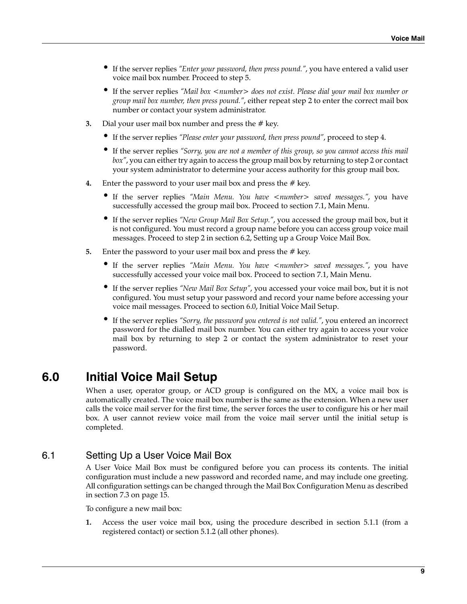- If the server replies *"Enter your password, then press pound."*, you have entered a valid user voice mail box number. Proceed to [step 5.](#page-8-2)
- If the server replies *"Mail box <number> does not exist. Please dial your mail box number or group mail box number, then press pound."*, either repeat [step 2](#page-7-4) to enter the correct mail box number or contact your system administrator.
- <span id="page-8-1"></span>**3.** Dial your user mail box number and press the # key.
	- If the server replies *"Please enter your password, then press pound"*, proceed to [step 4](#page-8-3).
	- If the server replies *"Sorry, you are not a member of this group, so you cannot access this mail box"*, you can either try again to access the group mail box by returning to [step 2](#page-7-4) or contact your system administrator to determine your access authority for this group mail box.
- <span id="page-8-3"></span>**4.** Enter the password to your user mail box and press the # key.
	- If the server replies "Main Menu. You have <number> saved messages.", you have successfully accessed the group mail box. Proceed to [section 7.1](#page-10-0), [Main Menu](#page-10-0).
	- If the server replies *"New Group Mail Box Setup."*, you accessed the group mail box, but it is not configured. You must record a group name before you can access group voice mail messages. Proceed to [step 2](#page-10-1) in [section 6.2,](#page-9-1) [Setting up a Group Voice Mail Box.](#page-9-1)
- <span id="page-8-2"></span>**5.** Enter the password to your user mail box and press the # key.
	- If the server replies *"Main Menu. You have <number>* saved messages.", you have successfully accessed your voice mail box. Proceed to [section 7.1](#page-10-0), [Main Menu.](#page-10-0)
	- If the server replies *"New Mail Box Setup"*, you accessed your voice mail box, but it is not configured. You must setup your password and record your name before accessing your voice mail messages. Proceed to [section 6.0,](#page-8-4) [Initial Voice Mail Setup](#page-8-4).
	- If the server replies *"Sorry, the password you entered is not valid."*, you entered an incorrect password for the dialled mail box number. You can either try again to access your voice mail box by returning to [step 2](#page-7-4) or contact the system administrator to reset your password.

## <span id="page-8-4"></span>**6.0 Initial Voice Mail Setup**

When a user, operator group, or ACD group is configured on the MX, a voice mail box is automatically created. The voice mail box number is the same as the extension. When a new user calls the voice mail server for the first time, the server forces the user to configure his or her mail box. A user cannot review voice mail from the voice mail server until the initial setup is completed.

### <span id="page-8-0"></span>6.1 Setting Up a User Voice Mail Box

A User Voice Mail Box must be configured before you can process its contents. The initial configuration must include a new password and recorded name, and may include one greeting. All configuration settings can be changed through the [Mail Box Configuration Menu](#page-14-0) as described in [section 7.3 on page 15.](#page-14-0)

To configure a new mail box:

**1.** Access the user voice mail box, using the procedure described in [section 5.1.1](#page-5-2) (from a registered contact) or [section 5.1.2](#page-6-0) (all other phones).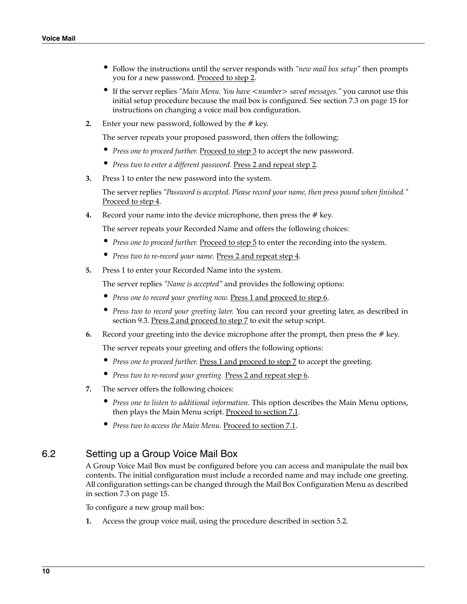- Follow the instructions until the server responds with *"new mail box setup"* then prompts you for a new password. Proceed to [step 2.](#page-9-0)
- If the server replies *"Main Menu. You have <number> saved messages."* you cannot use this initial setup procedure because the mail box is configured. See [section 7.3 on page 15](#page-14-0) for instructions on changing a voice mail box configuration.
- <span id="page-9-0"></span>**2.** Enter your new password, followed by the # key.

The server repeats your proposed password, then offers the following:

- Press one to proceed further. Proceed to [step 3](#page-9-4) to accept the new password.
- *Press two to enter a different password.* Press 2 and repeat [step 2](#page-9-0).
- <span id="page-9-4"></span>**3.** Press 1 to enter the new password into the system.

The server replies *"Password is accepted. Please record your name, then press pound when finished."* Proceed to [step 4.](#page-9-5)

<span id="page-9-5"></span>**4.** Record your name into the device microphone, then press the # key.

The server repeats your Recorded Name and offers the following choices:

- *Press one to proceed further. Proceed to [step 5](#page-9-6)* to enter the recording into the system.
- *Press two to re-record your name*. Press 2 and repeat [step 4.](#page-9-5)
- <span id="page-9-6"></span>**5.** Press 1 to enter your Recorded Name into the system.

The server replies *"Name is accepted"* and provides the following options:

- Press one to record your greeting now. Press 1 and proceed to [step 6](#page-9-2).
- *Press two to record your greeting later.* You can record your greeting later, as described in [section 9.3](#page-21-0). Press 2 and proceed to [step 7](#page-9-3) to exit the setup script.
- <span id="page-9-2"></span>**6.** Record your greeting into the device microphone after the prompt, then press the # key.

The server repeats your greeting and offers the following options:

- *Press one to proceed further.* Press 1 and proceed to [step 7](#page-9-3) to accept the greeting.
- *Press two to re-record your greeting.* Press 2 and repeat [step 6](#page-9-2).
- <span id="page-9-3"></span>**7.** The server offers the following choices:
	- *Press one to listen to additional information.* This option describes the Main Menu options, then plays the Main Menu script. Proceed to [section 7.1.](#page-10-0)
	- *Press two to access the Main Menu.* Proceed to [section 7.1.](#page-10-0)

### <span id="page-9-1"></span>6.2 Setting up a Group Voice Mail Box

A Group Voice Mail Box must be configured before you can access and manipulate the mail box contents. The initial configuration must include a recorded name and may include one greeting. All configuration settings can be changed through the [Mail Box Configuration Menu](#page-14-0) as described in [section 7.3 on page 15.](#page-14-0)

To configure a new group mail box:

**1.** Access the group voice mail, using the procedure described in [section 5.2.](#page-6-3)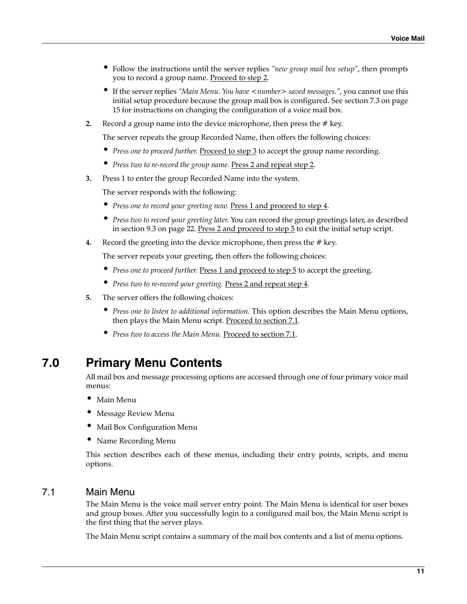- Follow the instructions until the server replies *"new group mail box setup"*, then prompts you to record a group name. Proceed to [step 2](#page-10-1).
- If the server replies "Main Menu. You have <number> saved messages.", you cannot use this initial setup procedure because the group mail box is configured. See [section 7.3 on page](#page-14-0) [15](#page-14-0) for instructions on changing the configuration of a voice mail box.
- <span id="page-10-1"></span>**2.** Record a group name into the device microphone, then press the # key.

The server repeats the group Recorded Name, then offers the following choices:

- *Press one to proceed further*. Proceed to [step 3](#page-10-2) to accept the group name recording.
- *Press two to re-record the group name.* Press 2 and repeat [step 2](#page-10-1).
- <span id="page-10-2"></span>**3.** Press 1 to enter the group Recorded Name into the system.

The server responds with the following:

- *Press one to record your greeting now.* Press 1 and proceed to [step 4](#page-10-3).
- *Press two to record your greeting later.* You can record the group greetings later, as described in [section 9.3 on page 22.](#page-21-0) Press 2 and proceed to [step 5](#page-10-4) to exit the initial setup script.
- <span id="page-10-3"></span>**4.** Record the greeting into the device microphone, then press the # key.

The server repeats your greeting, then offers the following choices:

- *Press one to proceed further.* Press 1 and proceed to step 5 to accept the greeting.
- *Press two to re-record your greeting.* Press 2 and repeat [step 4](#page-10-3).
- <span id="page-10-4"></span>**5.** The server offers the following choices:
	- *Press one to listen to additional information.* This option describes the Main Menu options, then plays the Main Menu script. Proceed to [section 7.1.](#page-10-0)
	- *Press two to access the Main Menu.* Proceed to [section 7.1.](#page-10-0)

## **7.0 Primary Menu Contents**

All mail box and message processing options are accessed through one of four primary voice mail menus:

- Main Menu
- Message Review Menu
- Mail Box Configuration Menu
- Name Recording Menu

This section describes each of these menus, including their entry points, scripts, and menu options.

### <span id="page-10-0"></span>7.1 Main Menu

The Main Menu is the voice mail server entry point. The Main Menu is identical for user boxes and group boxes. After you successfully login to a configured mail box, the Main Menu script is the first thing that the server plays.

The Main Menu script contains a summary of the mail box contents and a list of menu options.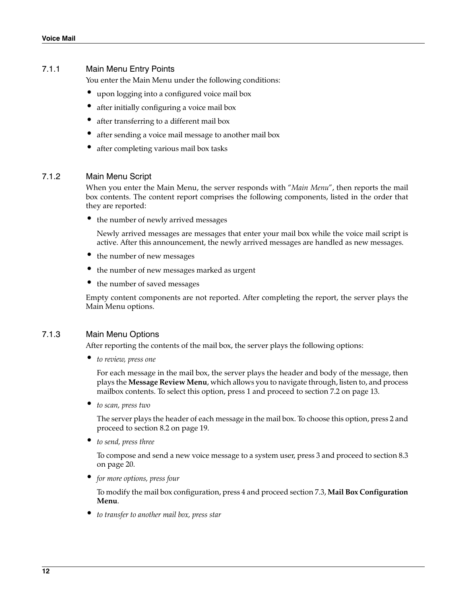#### 7.1.1 Main Menu Entry Points

You enter the Main Menu under the following conditions:

- upon logging into a configured voice mail box
- after initially configuring a voice mail box
- after transferring to a different mail box
- after sending a voice mail message to another mail box
- after completing various mail box tasks

#### 7.1.2 Main Menu Script

When you enter the Main Menu, the server responds with "*Main Menu*", then reports the mail box contents. The content report comprises the following components, listed in the order that they are reported:

• the number of newly arrived messages

Newly arrived messages are messages that enter your mail box while the voice mail script is active. After this announcement, the newly arrived messages are handled as new messages.

- the number of new messages
- the number of new messages marked as urgent
- the number of saved messages

Empty content components are not reported. After completing the report, the server plays the Main Menu options.

#### 7.1.3 Main Menu Options

After reporting the contents of the mail box, the server plays the following options:

• *to review, press one*

For each message in the mail box, the server plays the header and body of the message, then plays the **Message Review Menu**, which allows you to navigate through, listen to, and process mailbox contents. To select this option, press 1 and proceed to [section 7.2 on page 13](#page-12-0).

• *to scan, press two*

The server plays the header of each message in the mail box. To choose this option, press 2 and proceed to [section 8.2 on page 19.](#page-18-0)

• *to send, press three*

To compose and send a new voice message to a system user, press 3 and proceed to [section 8.3](#page-19-0) [on page 20.](#page-19-0)

• *for more options, press four*

To modify the mail box configuration, press 4 and proceed [section 7.3](#page-14-0), **[Mail Box Configuration](#page-14-0) [Menu](#page-14-0)**.

• *to transfer to another mail box, press star*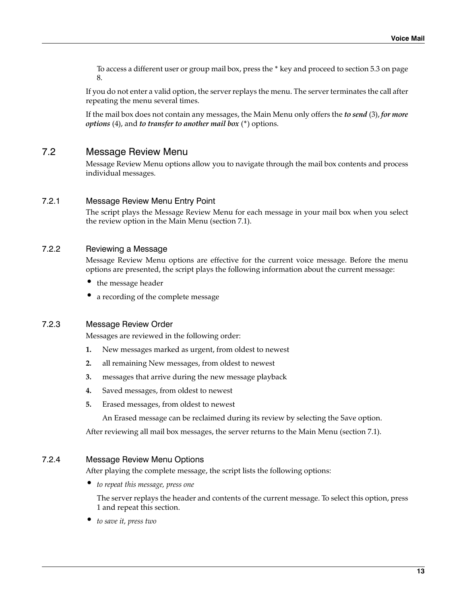To access a different user or group mail box, press the \* key and proceed to [section 5.3 on page](#page-7-5) [8.](#page-7-5)

If you do not enter a valid option, the server replays the menu. The server terminates the call after repeating the menu several times.

If the mail box does not contain any messages, the Main Menu only offers the *to send* (3), *for more options* (4), and *to transfer to another mail box* (\*) options.

### <span id="page-12-0"></span>7.2 Message Review Menu

Message Review Menu options allow you to navigate through the mail box contents and process individual messages.

#### 7.2.1 Message Review Menu Entry Point

The script plays the Message Review Menu for each message in your mail box when you select the review option in the Main Menu ([section 7.1](#page-10-0)).

### <span id="page-12-1"></span>7.2.2 Reviewing a Message

Message Review Menu options are effective for the current voice message. Before the menu options are presented, the script plays the following information about the current message:

- the message header
- a recording of the complete message

#### 7.2.3 Message Review Order

Messages are reviewed in the following order:

- **1.** New messages marked as urgent, from oldest to newest
- **2.** all remaining New messages, from oldest to newest
- **3.** messages that arrive during the new message playback
- **4.** Saved messages, from oldest to newest
- **5.** Erased messages, from oldest to newest

An Erased message can be reclaimed during its review by selecting the Save option.

After reviewing all mail box messages, the server returns to the Main Menu ([section 7.1\)](#page-10-0).

#### <span id="page-12-2"></span>7.2.4 Message Review Menu Options

After playing the complete message, the script lists the following options:

• *to repeat this message, press one*

The server replays the header and contents of the current message. To select this option, press 1 and repeat this section.

• *to save it, press two*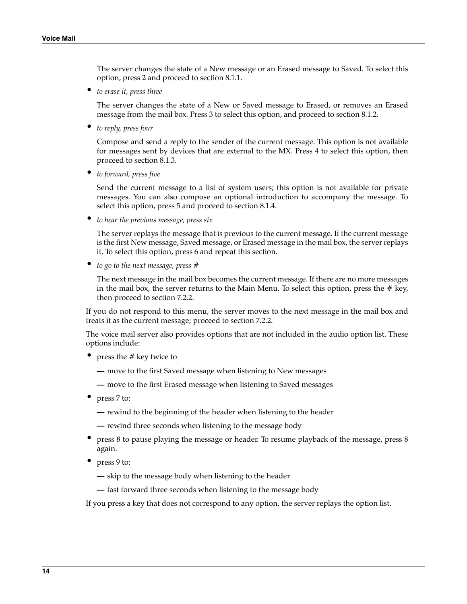The server changes the state of a New message or an Erased message to Saved. To select this option, press 2 and proceed to [section 8.1.1](#page-15-0).

• *to erase it, press three*

The server changes the state of a New or Saved message to Erased, or removes an Erased message from the mail box. Press 3 to select this option, and proceed to [section 8.1.2.](#page-15-1)

• *to reply, press four*

Compose and send a reply to the sender of the current message. This option is not available for messages sent by devices that are external to the MX. Press 4 to select this option, then proceed to [section 8.1.3](#page-16-0).

• *to forward, press five*

Send the current message to a list of system users; this option is not available for private messages. You can also compose an optional introduction to accompany the message. To select this option, press 5 and proceed to [section 8.1.4.](#page-17-0)

• *to hear the previous message, press six*

The server replays the message that is previous to the current message. If the current message is the first New message, Saved message, or Erased message in the mail box, the server replays it. To select this option, press 6 and repeat this section.

• *to go to the next message, press #*

The next message in the mail box becomes the current message. If there are no more messages in the mail box, the server returns to the Main Menu. To select this option, press the  $#$  key, then proceed to [section 7.2.2.](#page-12-1)

If you do not respond to this menu, the server moves to the next message in the mail box and treats it as the current message; proceed to [section 7.2.2.](#page-12-1)

The voice mail server also provides options that are not included in the audio option list. These options include:

- press the # key twice to
	- **—** move to the first Saved message when listening to New messages
	- **—** move to the first Erased message when listening to Saved messages
- press 7 to:
	- **—** rewind to the beginning of the header when listening to the header
	- **—** rewind three seconds when listening to the message body
- press 8 to pause playing the message or header. To resume playback of the message, press 8 again.
- press 9 to:
	- **—** skip to the message body when listening to the header
	- **—** fast forward three seconds when listening to the message body

If you press a key that does not correspond to any option, the server replays the option list.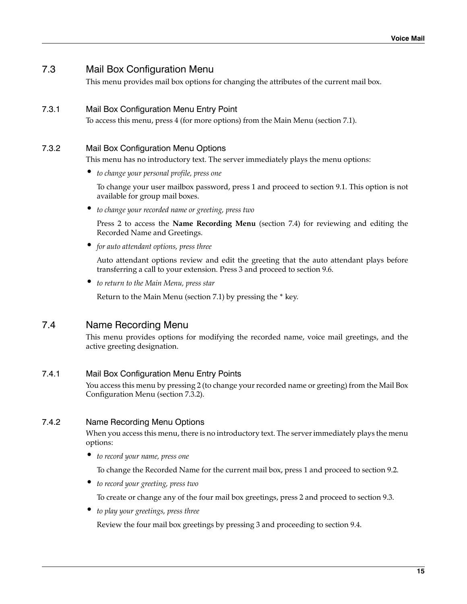### <span id="page-14-0"></span>7.3 Mail Box Configuration Menu

This menu provides mail box options for changing the attributes of the current mail box.

### 7.3.1 Mail Box Configuration Menu Entry Point

To access this menu, press 4 (for more options) from the Main Menu ([section 7.1](#page-10-0)).

### <span id="page-14-2"></span>7.3.2 Mail Box Configuration Menu Options

This menu has no introductory text. The server immediately plays the menu options:

• *to change your personal profile, press one*

To change your user mailbox password, press 1 and proceed to [section 9.1.](#page-20-0) This option is not available for group mail boxes.

• *to change your recorded name or greeting, press two*

Press 2 to access the **[Name Recording Menu](#page-14-1)** [\(section 7.4\)](#page-14-1) for reviewing and editing the Recorded Name and Greetings.

• *for auto attendant options, press three*

Auto attendant options review and edit the greeting that the auto attendant plays before transferring a call to your extension. Press 3 and proceed to [section 9.6.](#page-23-0)

• *to return to the Main Menu, press star*

Return to the Main Menu ([section 7.1](#page-10-0)) by pressing the \* key.

### <span id="page-14-1"></span>7.4 Name Recording Menu

This menu provides options for modifying the recorded name, voice mail greetings, and the active greeting designation.

### 7.4.1 Mail Box Configuration Menu Entry Points

You access this menu by pressing 2 (to change your recorded name or greeting) from the [Mail Box](#page-14-0) [Configuration Menu](#page-14-0) [\(section 7.3.2](#page-14-2)).

### <span id="page-14-3"></span>7.4.2 Name Recording Menu Options

When you access this menu, there is no introductory text. The server immediately plays the menu options:

• *to record your name, press one*

To change the Recorded Name for the current mail box, press 1 and proceed to [section 9.2](#page-21-1).

• *to record your greeting, press two*

To create or change any of the four mail box greetings, press 2 and proceed to [section 9.3.](#page-21-0)

• *to play your greetings, press three*

Review the four mail box greetings by pressing 3 and proceeding to [section 9.4.](#page-22-0)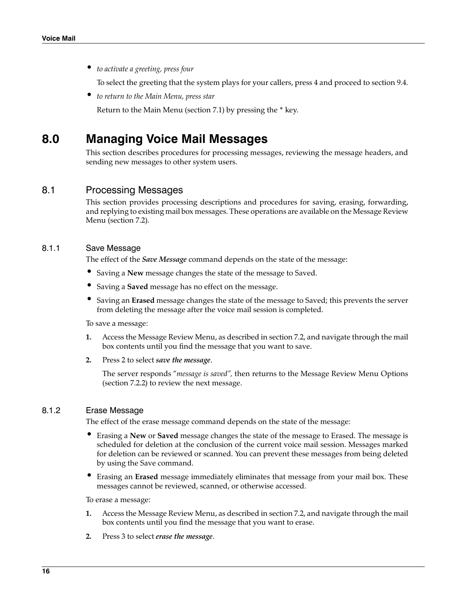• *to activate a greeting, press four*

To select the greeting that the system plays for your callers, press 4 and proceed to [section 9.4.](#page-22-0)

• *to return to the Main Menu, press star*

Return to the Main Menu ([section 7.1](#page-10-0)) by pressing the \* key.

## **8.0 Managing Voice Mail Messages**

This section describes procedures for processing messages, reviewing the message headers, and sending new messages to other system users.

### 8.1 Processing Messages

This section provides processing descriptions and procedures for saving, erasing, forwarding, and replying to existing mail box messages. These operations are available on the [Message Review](#page-12-0) [Menu](#page-12-0) ([section 7.2](#page-12-0)).

#### <span id="page-15-0"></span>8.1.1 Save Message

The effect of the *Save Message* command depends on the state of the message:

- Saving a **New** message changes the state of the message to Saved.
- Saving a **Saved** message has no effect on the message.
- Saving an **Erased** message changes the state of the message to Saved; this prevents the server from deleting the message after the voice mail session is completed.

To save a message:

- **1.** Access the [Message Review Menu](#page-12-0), as described in [section 7.2](#page-12-0), and navigate through the mail box contents until you find the message that you want to save.
- **2.** Press 2 to select *save the message*.

The server responds "*message is saved",* then returns to the [Message Review Menu Options](#page-12-2) ([section 7.2.2](#page-12-1)) to review the next message.

#### <span id="page-15-1"></span>8.1.2 Erase Message

The effect of the erase message command depends on the state of the message:

- Erasing a **New** or **Saved** message changes the state of the message to Erased. The message is scheduled for deletion at the conclusion of the current voice mail session. Messages marked for deletion can be reviewed or scanned. You can prevent these messages from being deleted by using the Save command.
- Erasing an **Erased** message immediately eliminates that message from your mail box. These messages cannot be reviewed, scanned, or otherwise accessed.

To erase a message:

- **1.** Access the Message Review Menu, as described in [section 7.2](#page-12-0), and navigate through the mail box contents until you find the message that you want to erase.
- **2.** Press 3 to select *erase the message*.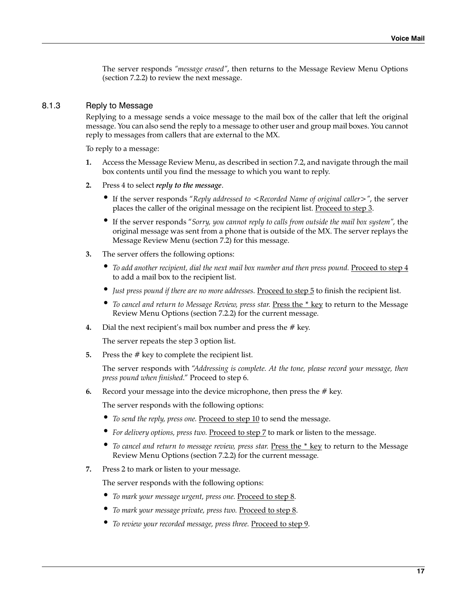The server responds *"message erased"*, then returns to the [Message Review Menu Options](#page-12-2) ([section 7.2.2](#page-12-1)) to review the next message.

#### <span id="page-16-0"></span>8.1.3 Reply to Message

Replying to a message sends a voice message to the mail box of the caller that left the original message. You can also send the reply to a message to other user and group mail boxes. You cannot reply to messages from callers that are external to the MX.

To reply to a message:

- **1.** Access the Message Review Menu, as described in [section 7.2](#page-12-0), and navigate through the mail box contents until you find the message to which you want to reply.
- **2.** Press 4 to select *reply to the message*.
	- If the server responds "*Reply addressed to <Recorded Name of original caller*>", the server places the caller of the original message on the recipient list. Proceed to [step 3](#page-16-1).
	- If the server responds "*Sorry, you cannot reply to calls from outside the mail box system",* the original message was sent from a phone that is outside of the MX. The server replays the Message Review Menu [\(section 7.2\)](#page-12-0) for this message.
- <span id="page-16-1"></span>**3.** The server offers the following options:
	- To add another recipient, dial the next mail box number and then press pound. Proceed to [step 4](#page-16-3) to add a mail box to the recipient list.
	- Just press pound if there are no more addresses. Proceed to [step 5](#page-16-5) to finish the recipient list.
	- *To cancel and return to [Message](#page-12-2) Review, press star. Press the \* key to return to the Message* [Review Menu Options](#page-12-2) [\(section 7.2.2](#page-12-1)) for the current message*.*
- <span id="page-16-3"></span>**4.** Dial the next recipient's mail box number and press the # key.

The server repeats the [step 3](#page-16-1) option list.

<span id="page-16-5"></span>**5.** Press the # key to complete the recipient list.

The server responds with "*Addressing is complete. At the tone, please record your message, then press pound when finished*." Proceed to [step 6.](#page-16-4)

<span id="page-16-4"></span>**6.** Record your message into the device microphone, then press the # key.

The server responds with the following options:

- To send the reply, press one. Proceed to [step 10](#page-17-1) to send the message.
- *For delivery options, press two.* Proceed to [step 7](#page-16-2) to mark or listen to the message.
- *To cancel and return to message review, press star.* Press the \* key to return to the [Message](#page-12-2) [Review Menu Options](#page-12-2) [\(section 7.2.2](#page-12-1)) for the current message*.*
- <span id="page-16-2"></span>**7.** Press 2 to mark or listen to your message.

The server responds with the following options:

- *To mark your message urgent, press one.* Proceed to [step 8.](#page-17-2)
- *To mark your message private, press two.* Proceed to [step 8](#page-17-2).
- *To review your recorded message, press three.* Proceed to [step 9](#page-17-3).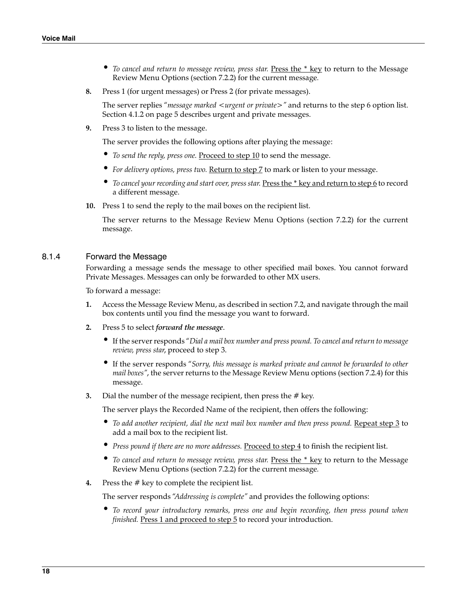- To cancel and return to message review, press star. Press the \* key to return to the [Message](#page-12-2) [Review Menu Options](#page-12-2) [\(section 7.2.2](#page-12-1)) for the current message*.*
- <span id="page-17-2"></span>**8.** Press 1 (for urgent messages) or Press 2 (for private messages).

The server replies "*message marked <urgent or private>*" and returns to the [step 6](#page-16-4) option list. [Section 4.1.2 on page 5](#page-4-0) describes urgent and private messages.

<span id="page-17-3"></span>**9.** Press 3 to listen to the message.

The server provides the following options after playing the message:

- *To send the reply, press one.* Proceed to [step 10](#page-17-1) to send the message.
- *For delivery options, press two.* Return to [step 7](#page-16-2) to mark or listen to your message.
- To cancel your recording and start over, press star. Press the \* key and return to [step 6](#page-16-4)</u> to record a different message.
- <span id="page-17-1"></span>**10.** Press 1 to send the reply to the mail boxes on the recipient list.

The server returns to the [Message Review Menu Options](#page-12-2) [\(section 7.2.2\)](#page-12-1) for the current message.

#### <span id="page-17-0"></span>8.1.4 Forward the Message

Forwarding a message sends the message to other specified mail boxes. You cannot forward Private Messages. Messages can only be forwarded to other MX users.

To forward a message:

- **1.** Access the [Message Review Menu](#page-12-0), as described in [section 7.2](#page-12-0), and navigate through the mail box contents until you find the message you want to forward.
- **2.** Press 5 to select *forward the message*.
	- If the server responds "*Dial a mail box number and press pound. To cancel and return to message review, press star*, proceed to [step 3.](#page-17-4)
	- If the server responds "*Sorry, this message is marked private and cannot be forwarded to other mail boxes"*, the server returns to the Message Review Menu options ([section 7.2.4](#page-12-2)) for this message.
- <span id="page-17-4"></span>**3.** Dial the number of the message recipient, then press the # key.

The server plays the Recorded Name of the recipient, then offers the following:

- To add another recipient, dial the next mail box number and then press pound. Repeat [step 3](#page-17-4) to add a mail box to the recipient list.
- Press pound if there are no more addresses. Proceed to [step 4](#page-17-5) to finish the recipient list.
- To cancel and return to message review, press star. Press the \* key to return to the [Message](#page-12-2) [Review Menu Options](#page-12-2) [\(section 7.2.2](#page-12-1)) for the current message*.*
- <span id="page-17-5"></span>**4.** Press the # key to complete the recipient list.

The server responds "*Addressing is complete"* and provides the following options:

• *To record your introductory remarks, press one and begin recording, then press pound when finished*. Press 1 and proceed to [step 5](#page-18-1) to record your introduction.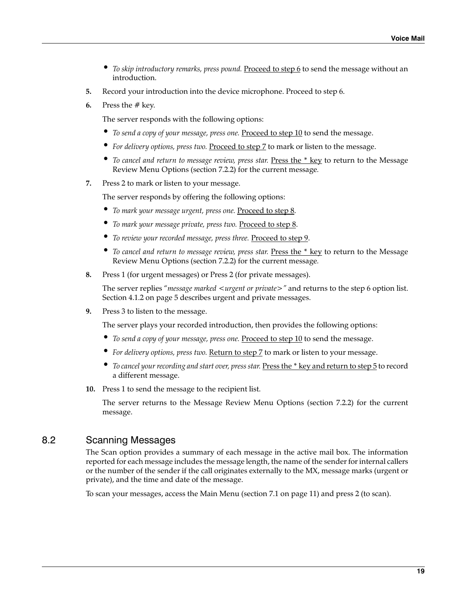- *To skip introductory remarks, press pound.* Proceed to [step 6](#page-18-2) to send the message without an introduction.
- <span id="page-18-1"></span>**5.** Record your introduction into the device microphone. Proceed to [step 6.](#page-18-2)
- <span id="page-18-2"></span>**6.** Press the # key.

The server responds with the following options:

- *To send a copy of your message, press one.* Proceed to [step 10](#page-18-4) to send the message.
- For delivery options, press two. Proceed to [step 7](#page-18-3) to mark or listen to the message.
- *To cancel and return to message review, press star.* Press the \* key to return to the [Message](#page-12-2) [Review Menu Options](#page-12-2) [\(section 7.2.2](#page-12-1)) for the current message*.*
- <span id="page-18-3"></span>**7.** Press 2 to mark or listen to your message.

The server responds by offering the following options:

- *To mark your message urgent, press one.* Proceed to [step 8.](#page-18-5)
- *To mark your message private, press two.* Proceed to [step 8](#page-18-5).
- *To review your recorded message, press three.* Proceed to [step 9](#page-18-6).
- To cancel and return to message review, press star. Press the \* key to return to the [Message](#page-12-2) [Review Menu Options](#page-12-2) [\(section 7.2.2](#page-12-1)) for the current message*.*
- <span id="page-18-5"></span>**8.** Press 1 (for urgent messages) or Press 2 (for private messages).

The server replies "*message marked <urgent or private>"* and returns to the [step 6](#page-18-2) option list. [Section 4.1.2 on page 5](#page-4-0) describes urgent and private messages.

<span id="page-18-6"></span>**9.** Press 3 to listen to the message.

The server plays your recorded introduction, then provides the following options:

- To send a copy of your message, press one. Proceed to [step 10](#page-18-4) to send the message.
- *For delivery options, press two.* Return to [step 7](#page-18-3) to mark or listen to your message.
- *To cancel your recording and start over, press star.* Press the \* key and return to [step 5](#page-18-1) to record a different message.
- <span id="page-18-4"></span>**10.** Press 1 to send the message to the recipient list.

The server returns to the [Message Review Menu Options](#page-12-2) [\(section 7.2.2\)](#page-12-1) for the current message.

### <span id="page-18-0"></span>8.2 Scanning Messages

The Scan option provides a summary of each message in the active mail box. The information reported for each message includes the message length, the name of the sender for internal callers or the number of the sender if the call originates externally to the MX, message marks (urgent or private), and the time and date of the message.

To scan your messages, access the Main Menu ([section 7.1 on page 11](#page-10-0)) and press 2 (to scan).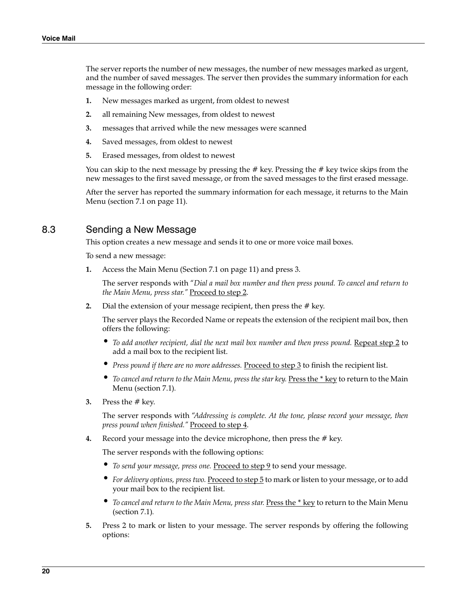The server reports the number of new messages, the number of new messages marked as urgent, and the number of saved messages. The server then provides the summary information for each message in the following order:

- **1.** New messages marked as urgent, from oldest to newest
- **2.** all remaining New messages, from oldest to newest
- **3.** messages that arrived while the new messages were scanned
- **4.** Saved messages, from oldest to newest
- **5.** Erased messages, from oldest to newest

You can skip to the next message by pressing the # key. Pressing the # key twice skips from the new messages to the first saved message, or from the saved messages to the first erased message.

After the server has reported the summary information for each message, it returns to the Main Menu ([section 7.1 on page 11](#page-10-0)).

### <span id="page-19-0"></span>8.3 Sending a New Message

This option creates a new message and sends it to one or more voice mail boxes.

To send a new message:

**1.** Access the Main Menu [\(Section 7.1 on page 11](#page-10-0)) and press 3.

The server responds with "*Dial a mail box number and then press pound. To cancel and return to the Main Menu, press star."* Proceed to [step 2](#page-19-1).

<span id="page-19-1"></span>**2.** Dial the extension of your message recipient, then press the # key.

The server plays the Recorded Name or repeats the extension of the recipient mail box, then offers the following:

- *To add another recipient, dial the next mail box number and then press pound.* Repeat [step 2](#page-19-1) to add a mail box to the recipient list.
- Press pound if there are no more addresses. Proceed to [step 3](#page-19-2) to finish the recipient list.
- To cancel and return to the [Main](#page-10-0) Menu, press the star key. Press the \* key to return to the Main [Menu](#page-10-0) ([section 7.1](#page-10-0))*.*
- <span id="page-19-2"></span>**3.** Press the # key.

The server responds with "*Addressing is complete. At the tone, please record your message, then press pound when finished."* Proceed to [step 4.](#page-19-4)

<span id="page-19-4"></span>**4.** Record your message into the device microphone, then press the # key.

The server responds with the following options:

- To send your message, press one. Proceed to [step 9](#page-20-1) to send your message.
- *For delivery options, press two.* Proceed to [step 5](#page-19-3) to mark or listen to your message, or to add your mail box to the recipient list.
- *To cancel and return to the [Main Menu](#page-10-0), press star.* Press the \* key to return to the Main Menu ([section 7.1\)](#page-10-0)*.*
- <span id="page-19-3"></span>**5.** Press 2 to mark or listen to your message. The server responds by offering the following options: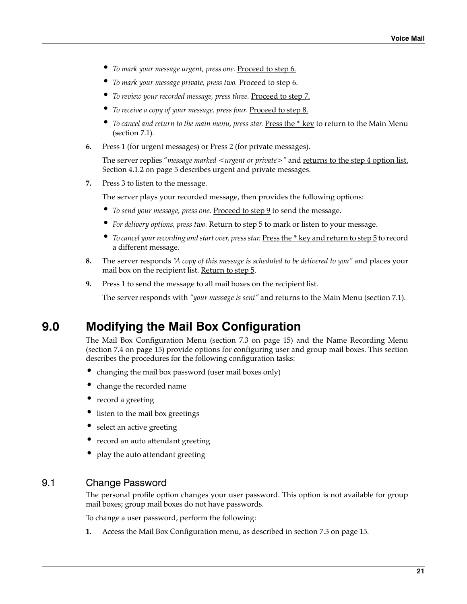- *To mark your message urgent, press one.* Proceed to [step 6.](#page-20-2)
- *To mark your message private, press two.* Proceed to [step 6](#page-20-2).
- *To review your recorded message, press three.* Proceed to [step 7](#page-20-3).
- *To receive a copy of your message, press four.* Proceed to [step 8.](#page-20-4)
- *To cancel and return to the main menu, press star.* Press the \* key to return to the [Main Menu](#page-10-0) ([section 7.1\)](#page-10-0)*.*
- <span id="page-20-2"></span>**6.** Press 1 (for urgent messages) or Press 2 (for private messages).

The server replies "*message marked <urgent or private>"* and returns to the [step 4](#page-19-4) option list. [Section 4.1.2 on page 5](#page-4-0) describes urgent and private messages.

<span id="page-20-3"></span>**7.** Press 3 to listen to the message.

The server plays your recorded message, then provides the following options:

- *To send your message, press one.* Proceed to [step 9](#page-20-1) to send the message.
- *For delivery options, press two.* Return to [step 5](#page-19-3) to mark or listen to your message.
- *To cancel your recording and start over, press star.* Press the \* key and return to [step 5](#page-18-1) to record a different message.
- <span id="page-20-4"></span>**8.** The server responds *"A copy of this message is scheduled to be delivered to you"* and places your mail box on the recipient list. Return to [step 5.](#page-19-3)
- **9.** Press 1 to send the message to all mail boxes on the recipient list.

The server responds with *"your message is sent"* and returns to the Main Menu [\(section 7.1\)](#page-10-0).

## <span id="page-20-1"></span>**9.0 Modifying the Mail Box Configuration**

The Mail Box Configuration Menu ([section 7.3 on page 15](#page-14-0)) and the Name Recording Menu ([section 7.4 on page 15](#page-14-1)) provide options for configuring user and group mail boxes. This section describes the procedures for the following configuration tasks:

- changing the mail box password (user mail boxes only)
- change the recorded name
- record a greeting
- listen to the mail box greetings
- select an active greeting
- record an auto attendant greeting
- play the auto attendant greeting

### <span id="page-20-0"></span>9.1 Change Password

The personal profile option changes your user password. This option is not available for group mail boxes; group mail boxes do not have passwords.

To change a user password, perform the following:

**1.** Access the Mail Box Configuration menu, as described in [section 7.3 on page 15.](#page-14-0)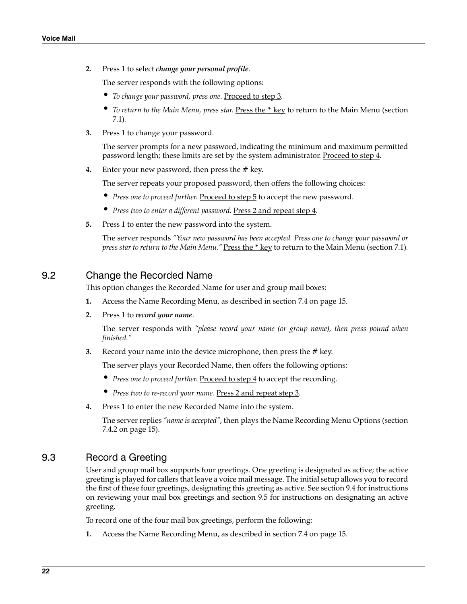**2.** Press 1 to select *change your personal profile*.

The server responds with the following options:

- *To change your password, press one*. Proceed to [step 3.](#page-21-6)
- *To return to the Main Menu, press star.* Press the \* key to return to the [Main Menu \(section](#page-10-0) [7.1](#page-10-0))*.*
- <span id="page-21-6"></span>**3.** Press 1 to change your password.

The server prompts for a new password, indicating the minimum and maximum permitted password length; these limits are set by the system administrator. Proceed to [step 4.](#page-21-3)

<span id="page-21-3"></span>**4.** Enter your new password, then press the # key.

The server repeats your proposed password, then offers the following choices:

- *Press one to proceed further*. Proceed to [step 5](#page-21-2) to accept the new password.
- *Press two to enter a different password.* Press 2 and repeat [step 4](#page-21-3).
- <span id="page-21-2"></span>**5.** Press 1 to enter the new password into the system.

The server responds *"Your new password has been accepted. Press one to change your password or press star to return to the Main Menu."* Press the \* key to return to the [Main Menu \(section 7.1\)](#page-10-0).

#### <span id="page-21-1"></span>9.2 Change the Recorded Name

This option changes the Recorded Name for user and group mail boxes:

- **1.** Access the Name Recording Menu, as described in [section 7.4 on page 15.](#page-14-1)
- **2.** Press 1 to *record your name*.

The server responds with *"please record your name (or group name), then press pound when finished."*

<span id="page-21-5"></span>**3.** Record your name into the device microphone, then press the # key.

The server plays your Recorded Name, then offers the following options:

- *Press one to proceed further.* Proceed to [step 4](#page-21-4) to accept the recording.
- *Press two to re-record your name.* Press 2 and repeat [step 3.](#page-21-5)
- <span id="page-21-4"></span>**4.** Press 1 to enter the new Recorded Name into the system.

The server replies *"name is accepted"*, then plays the [Name Recording Menu Options \(section](#page-14-3) [7.4.2 on page 15\)](#page-14-3).

### <span id="page-21-0"></span>9.3 Record a Greeting

User and group mail box supports four greetings. One greeting is designated as active; the active greeting is played for callers that leave a voice mail message. The initial setup allows you to record the first of these four greetings, designating this greeting as active. See [section 9.4](#page-22-0) for instructions on reviewing your mail box greetings and [section 9.5](#page-22-1) for instructions on designating an active greeting.

To record one of the four mail box greetings, perform the following:

**1.** Access the Name Recording Menu, as described in [section 7.4 on page 15.](#page-14-1)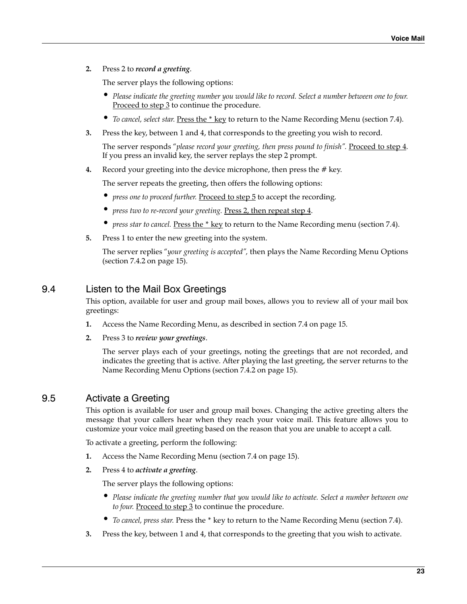<span id="page-22-5"></span>**2.** Press 2 to *record a greeting*.

The server plays the following options:

- *Please indicate the greeting number you would like to record. Select a number between one to four.* Proceed to [step 3](#page-22-3) to continue the procedure.
- *To cancel, select star.* Press the \* key to return to the [Name Recording Menu \(section 7.4\)](#page-14-1).
- <span id="page-22-3"></span>**3.** Press the key, between 1 and 4, that corresponds to the greeting you wish to record.

The server responds "please record your greeting, then press pound to finish". Proceed to [step 4.](#page-22-2) If you press an invalid key, the server replays the [step 2](#page-22-5) prompt.

<span id="page-22-2"></span>**4.** Record your greeting into the device microphone, then press the # key.

The server repeats the greeting, then offers the following options:

- *press one to proceed further. Proceed to [step 5](#page-22-4)* to accept the recording.
- press two to re-record your greeting. Press 2, then repeat [step 4.](#page-22-2)
- *press star to cancel.* Press the \* key to return to the Name Recording menu ([section 7.4\)](#page-14-1).
- <span id="page-22-4"></span>**5.** Press 1 to enter the new greeting into the system.

The server replies "*your greeting is accepted",* then plays the [Name Recording Menu Options](#page-14-3) ([section 7.4.2 on page 15\)](#page-14-3).

### <span id="page-22-0"></span>9.4 Listen to the Mail Box Greetings

This option, available for user and group mail boxes, allows you to review all of your mail box greetings:

- **1.** Access the [Name Recording Menu,](#page-14-1) as described in [section 7.4 on page 15.](#page-14-1)
- **2.** Press 3 to *review your greetings*.

The server plays each of your greetings, noting the greetings that are not recorded, and indicates the greeting that is active. After playing the last greeting, the server returns to the [Name Recording Menu Options](#page-14-3) ([section 7.4.2 on page 15\)](#page-14-3).

### <span id="page-22-1"></span>9.5 Activate a Greeting

This option is available for user and group mail boxes. Changing the active greeting alters the message that your callers hear when they reach your voice mail. This feature allows you to customize your voice mail greeting based on the reason that you are unable to accept a call.

To activate a greeting, perform the following:

- **1.** Access the Name Recording Menu [\(section 7.4 on page 15\)](#page-14-1).
- <span id="page-22-7"></span>**2.** Press 4 to *activate a greeting*.

The server plays the following options:

- *Please indicate the greeting number that you would like to activate. Select a number between one to four.* Proceed to [step 3](#page-22-6) to continue the procedure.
- *To cancel, press star.* Press the \* key to return to the Name Recording Menu ([section 7.4\)](#page-14-1).
- <span id="page-22-6"></span>**3.** Press the key, between 1 and 4, that corresponds to the greeting that you wish to activate.